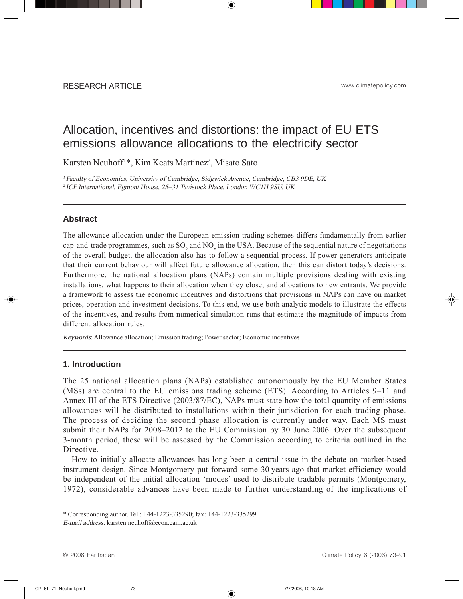## RESEARCH ARTICLE www.climatepolicy.com

# Allocation, incentives and distortions: the impact of EU ETS emissions allowance allocations to the electricity sector

Karsten Neuhoff<sup>1\*</sup>, Kim Keats Martinez<sup>2</sup>, Misato Sato<sup>1</sup>

<sup>1</sup> Faculty of Economics, University of Cambridge, Sidgwick Avenue, Cambridge, CB3 9DE, UK <sup>2</sup>ICF International, Egmont House, 25–31 Tavistock Place, London WC1H 9SU, UK

## **Abstract**

The allowance allocation under the European emission trading schemes differs fundamentally from earlier cap-and-trade programmes, such as  ${SO_2}$  and  ${NO_x}$  in the USA. Because of the sequential nature of negotiations of the overall budget, the allocation also has to follow a sequential process. If power generators anticipate that their current behaviour will affect future allowance allocation, then this can distort today's decisions. Furthermore, the national allocation plans (NAPs) contain multiple provisions dealing with existing installations, what happens to their allocation when they close, and allocations to new entrants. We provide a framework to assess the economic incentives and distortions that provisions in NAPs can have on market prices, operation and investment decisions. To this end, we use both analytic models to illustrate the effects of the incentives, and results from numerical simulation runs that estimate the magnitude of impacts from different allocation rules.

Keywords: Allowance allocation; Emission trading; Power sector; Economic incentives

## **1. Introduction**

The 25 national allocation plans (NAPs) established autonomously by the EU Member States (MSs) are central to the EU emissions trading scheme (ETS). According to Articles 9–11 and Annex III of the ETS Directive (2003/87/EC), NAPs must state how the total quantity of emissions allowances will be distributed to installations within their jurisdiction for each trading phase. The process of deciding the second phase allocation is currently under way. Each MS must submit their NAPs for 2008–2012 to the EU Commission by 30 June 2006. Over the subsequent 3-month period, these will be assessed by the Commission according to criteria outlined in the Directive.

How to initially allocate allowances has long been a central issue in the debate on market-based instrument design. Since Montgomery put forward some 30 years ago that market efficiency would be independent of the initial allocation 'modes' used to distribute tradable permits (Montgomery, 1972), considerable advances have been made to further understanding of the implications of

<sup>\*</sup> Corresponding author. Tel.: +44-1223-335290; fax: +44-1223-335299

E-mail address: karsten.neuhoff@econ.cam.ac.uk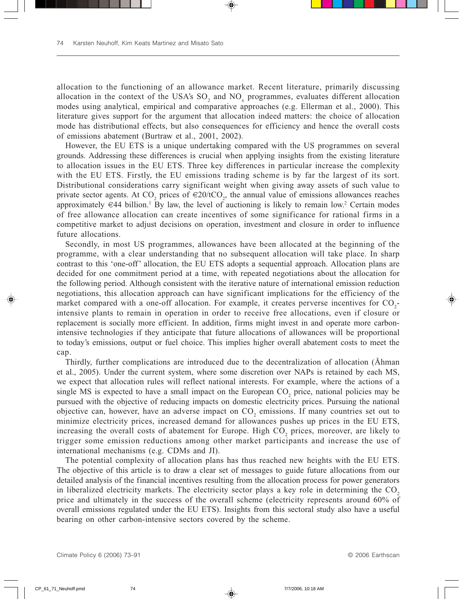allocation to the functioning of an allowance market. Recent literature, primarily discussing allocation in the context of the USA's  $SO_2$  and  $NO_x$  programmes, evaluates different allocation modes using analytical, empirical and comparative approaches (e.g. Ellerman et al., 2000). This literature gives support for the argument that allocation indeed matters: the choice of allocation mode has distributional effects, but also consequences for efficiency and hence the overall costs of emissions abatement (Burtraw et al., 2001, 2002).

However, the EU ETS is a unique undertaking compared with the US programmes on several grounds. Addressing these differences is crucial when applying insights from the existing literature to allocation issues in the EU ETS. Three key differences in particular increase the complexity with the EU ETS. Firstly, the EU emissions trading scheme is by far the largest of its sort. Distributional considerations carry significant weight when giving away assets of such value to private sector agents. At  $CO_2$  prices of  $\in 20/tCO_2$ , the annual value of emissions allowances reaches approximately  $\in$  44 billion.<sup>1</sup> By law, the level of auctioning is likely to remain low.<sup>2</sup> Certain modes of free allowance allocation can create incentives of some significance for rational firms in a competitive market to adjust decisions on operation, investment and closure in order to influence future allocations.

Secondly, in most US programmes, allowances have been allocated at the beginning of the programme, with a clear understanding that no subsequent allocation will take place. In sharp contrast to this 'one-off' allocation, the EU ETS adopts a sequential approach. Allocation plans are decided for one commitment period at a time, with repeated negotiations about the allocation for the following period. Although consistent with the iterative nature of international emission reduction negotiations, this allocation approach can have significant implications for the efficiency of the market compared with a one-off allocation. For example, it creates perverse incentives for  $CO_2$ intensive plants to remain in operation in order to receive free allocations, even if closure or replacement is socially more efficient. In addition, firms might invest in and operate more carbonintensive technologies if they anticipate that future allocations of allowances will be proportional to today's emissions, output or fuel choice. This implies higher overall abatement costs to meet the cap.

Thirdly, further complications are introduced due to the decentralization of allocation (Åhman et al., 2005). Under the current system, where some discretion over NAPs is retained by each MS, we expect that allocation rules will reflect national interests. For example, where the actions of a single MS is expected to have a small impact on the European  $CO_2$  price, national policies may be pursued with the objective of reducing impacts on domestic electricity prices. Pursuing the national objective can, however, have an adverse impact on  $CO_2$  emissions. If many countries set out to minimize electricity prices, increased demand for allowances pushes up prices in the EU ETS, increasing the overall costs of abatement for Europe. High  $CO_2$  prices, moreover, are likely to trigger some emission reductions among other market participants and increase the use of international mechanisms (e.g. CDMs and JI).

The potential complexity of allocation plans has thus reached new heights with the EU ETS. The objective of this article is to draw a clear set of messages to guide future allocations from our detailed analysis of the financial incentives resulting from the allocation process for power generators in liberalized electricity markets. The electricity sector plays a key role in determining the  $CO<sub>2</sub>$ price and ultimately in the success of the overall scheme (electricity represents around 60% of overall emissions regulated under the EU ETS). Insights from this sectoral study also have a useful bearing on other carbon-intensive sectors covered by the scheme.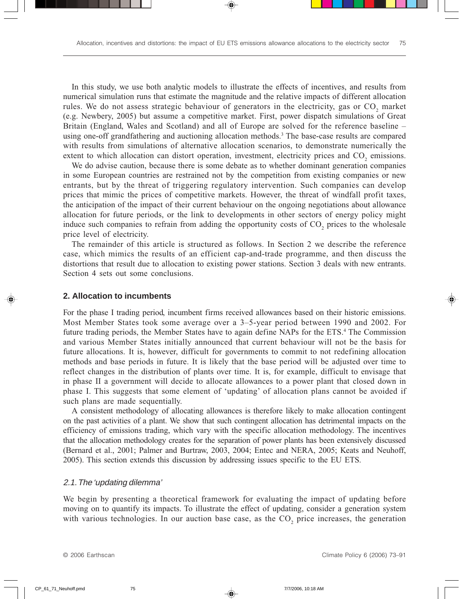In this study, we use both analytic models to illustrate the effects of incentives, and results from numerical simulation runs that estimate the magnitude and the relative impacts of different allocation rules. We do not assess strategic behaviour of generators in the electricity, gas or  $CO_2$  market (e.g. Newbery, 2005) but assume a competitive market. First, power dispatch simulations of Great Britain (England, Wales and Scotland) and all of Europe are solved for the reference baseline – using one-off grandfathering and auctioning allocation methods.<sup>3</sup> The base-case results are compared with results from simulations of alternative allocation scenarios, to demonstrate numerically the extent to which allocation can distort operation, investment, electricity prices and  $CO_2$  emissions.

We do advise caution, because there is some debate as to whether dominant generation companies in some European countries are restrained not by the competition from existing companies or new entrants, but by the threat of triggering regulatory intervention. Such companies can develop prices that mimic the prices of competitive markets. However, the threat of windfall profit taxes, the anticipation of the impact of their current behaviour on the ongoing negotiations about allowance allocation for future periods, or the link to developments in other sectors of energy policy might induce such companies to refrain from adding the opportunity costs of  $CO_2$  prices to the wholesale price level of electricity.

The remainder of this article is structured as follows. In Section 2 we describe the reference case, which mimics the results of an efficient cap-and-trade programme, and then discuss the distortions that result due to allocation to existing power stations. Section 3 deals with new entrants. Section 4 sets out some conclusions.

## **2. Allocation to incumbents**

For the phase I trading period, incumbent firms received allowances based on their historic emissions. Most Member States took some average over a 3–5-year period between 1990 and 2002. For future trading periods, the Member States have to again define NAPs for the ETS.<sup>4</sup> The Commission and various Member States initially announced that current behaviour will not be the basis for future allocations. It is, however, difficult for governments to commit to not redefining allocation methods and base periods in future. It is likely that the base period will be adjusted over time to reflect changes in the distribution of plants over time. It is, for example, difficult to envisage that in phase II a government will decide to allocate allowances to a power plant that closed down in phase I. This suggests that some element of 'updating' of allocation plans cannot be avoided if such plans are made sequentially.

A consistent methodology of allocating allowances is therefore likely to make allocation contingent on the past activities of a plant. We show that such contingent allocation has detrimental impacts on the efficiency of emissions trading, which vary with the specific allocation methodology. The incentives that the allocation methodology creates for the separation of power plants has been extensively discussed (Bernard et al., 2001; Palmer and Burtraw, 2003, 2004; Entec and NERA, 2005; Keats and Neuhoff, 2005). This section extends this discussion by addressing issues specific to the EU ETS.

## 2.1. The 'updating dilemma'

We begin by presenting a theoretical framework for evaluating the impact of updating before moving on to quantify its impacts. To illustrate the effect of updating, consider a generation system with various technologies. In our auction base case, as the  $CO_2$  price increases, the generation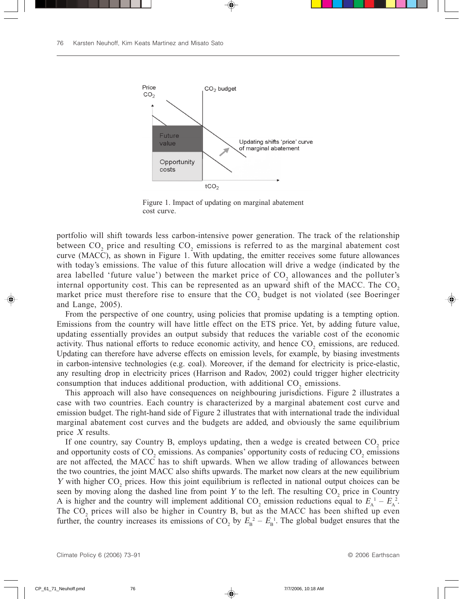

Figure 1. Impact of updating on marginal abatement cost curve.

portfolio will shift towards less carbon-intensive power generation. The track of the relationship between  $CO_2$  price and resulting  $CO_2$  emissions is referred to as the marginal abatement cost curve (MACC), as shown in Figure 1. With updating, the emitter receives some future allowances with today's emissions. The value of this future allocation will drive a wedge (indicated by the area labelled 'future value') between the market price of  $CO_2$  allowances and the polluter's internal opportunity cost. This can be represented as an upward shift of the MACC. The  $CO<sub>2</sub>$ market price must therefore rise to ensure that the  $CO<sub>2</sub>$  budget is not violated (see Boeringer and Lange, 2005).

From the perspective of one country, using policies that promise updating is a tempting option. Emissions from the country will have little effect on the ETS price. Yet, by adding future value, updating essentially provides an output subsidy that reduces the variable cost of the economic activity. Thus national efforts to reduce economic activity, and hence  $CO_2$  emissions, are reduced. Updating can therefore have adverse effects on emission levels, for example, by biasing investments in carbon-intensive technologies (e.g. coal). Moreover, if the demand for electricity is price-elastic, any resulting drop in electricity prices (Harrison and Radov, 2002) could trigger higher electricity consumption that induces additional production, with additional  $CO_2$  emissions.

This approach will also have consequences on neighbouring jurisdictions. Figure 2 illustrates a case with two countries. Each country is characterized by a marginal abatement cost curve and emission budget. The right-hand side of Figure 2 illustrates that with international trade the individual marginal abatement cost curves and the budgets are added, and obviously the same equilibrium price X results.

If one country, say Country B, employs updating, then a wedge is created between  $CO_2$  price and opportunity costs of  $CO_2$  emissions. As companies' opportunity costs of reducing  $CO_2$  emissions are not affected, the MACC has to shift upwards. When we allow trading of allowances between the two countries, the joint MACC also shifts upwards. The market now clears at the new equilibrium Y with higher  $CO_2$  prices. How this joint equilibrium is reflected in national output choices can be seen by moving along the dashed line from point Y to the left. The resulting  $CO_2$  price in Country A is higher and the country will implement additional CO<sub>2</sub> emission reductions equal to  $E_A^{-1} - E_A^{-2}$ . The  $CO_2$  prices will also be higher in Country B, but as the MACC has been shifted up even further, the country increases its emissions of CO<sub>2</sub> by  $E_B^2 - E_B^1$ . The global budget ensures that the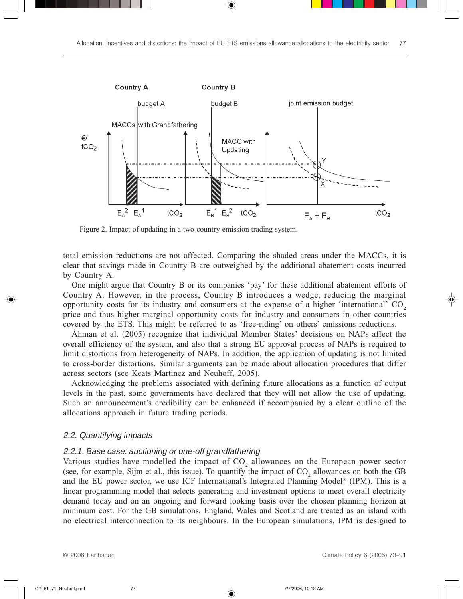

Figure 2. Impact of updating in a two-country emission trading system.

total emission reductions are not affected. Comparing the shaded areas under the MACCs, it is clear that savings made in Country B are outweighed by the additional abatement costs incurred by Country A.

One might argue that Country B or its companies 'pay' for these additional abatement efforts of Country A. However, in the process, Country B introduces a wedge, reducing the marginal opportunity costs for its industry and consumers at the expense of a higher 'international'  $CO<sub>2</sub>$ price and thus higher marginal opportunity costs for industry and consumers in other countries covered by the ETS. This might be referred to as 'free-riding' on others' emissions reductions.

Åhman et al. (2005) recognize that individual Member States' decisions on NAPs affect the overall efficiency of the system, and also that a strong EU approval process of NAPs is required to limit distortions from heterogeneity of NAPs. In addition, the application of updating is not limited to cross-border distortions. Similar arguments can be made about allocation procedures that differ across sectors (see Keats Martinez and Neuhoff, 2005).

Acknowledging the problems associated with defining future allocations as a function of output levels in the past, some governments have declared that they will not allow the use of updating. Such an announcement's credibility can be enhanced if accompanied by a clear outline of the allocations approach in future trading periods.

#### 2.2. Quantifying impacts

## 2.2.1. Base case: auctioning or one-off grandfathering

Various studies have modelled the impact of  $CO_2$  allowances on the European power sector (see, for example, Sijm et al., this issue). To quantify the impact of  $CO_2$  allowances on both the GB and the EU power sector, we use ICF International's Integrated Planning Model® (IPM). This is a linear programming model that selects generating and investment options to meet overall electricity demand today and on an ongoing and forward looking basis over the chosen planning horizon at minimum cost. For the GB simulations, England, Wales and Scotland are treated as an island with no electrical interconnection to its neighbours. In the European simulations, IPM is designed to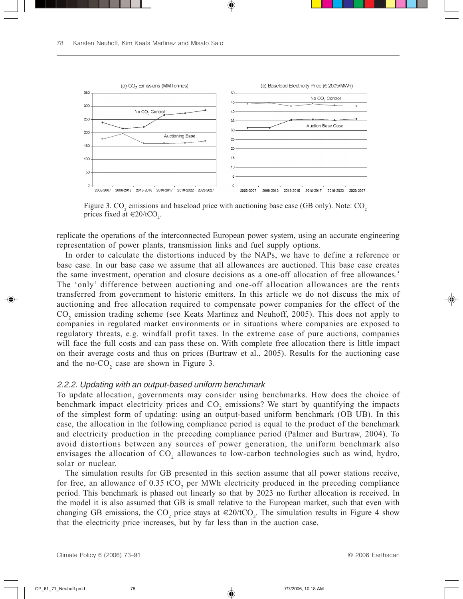

Figure 3.  $CO_2$  emissions and baseload price with auctioning base case (GB only). Note:  $CO_2$ prices fixed at  $\in 20/\text{tCO}_2$ .

replicate the operations of the interconnected European power system, using an accurate engineering representation of power plants, transmission links and fuel supply options.

In order to calculate the distortions induced by the NAPs, we have to define a reference or base case. In our base case we assume that all allowances are auctioned. This base case creates the same investment, operation and closure decisions as a one-off allocation of free allowances.<sup>5</sup> The 'only' difference between auctioning and one-off allocation allowances are the rents transferred from government to historic emitters. In this article we do not discuss the mix of auctioning and free allocation required to compensate power companies for the effect of the CO<sub>2</sub> emission trading scheme (see Keats Martinez and Neuhoff, 2005). This does not apply to companies in regulated market environments or in situations where companies are exposed to regulatory threats, e.g. windfall profit taxes. In the extreme case of pure auctions, companies will face the full costs and can pass these on. With complete free allocation there is little impact on their average costs and thus on prices (Burtraw et al., 2005). Results for the auctioning case and the no- $CO<sub>2</sub>$  case are shown in Figure 3.

#### 2.2.2. Updating with an output-based uniform benchmark

To update allocation, governments may consider using benchmarks. How does the choice of benchmark impact electricity prices and  $CO_2$  emissions? We start by quantifying the impacts of the simplest form of updating: using an output-based uniform benchmark (OB UB). In this case, the allocation in the following compliance period is equal to the product of the benchmark and electricity production in the preceding compliance period (Palmer and Burtraw, 2004). To avoid distortions between any sources of power generation, the uniform benchmark also envisages the allocation of  $CO_2$  allowances to low-carbon technologies such as wind, hydro, solar or nuclear.

The simulation results for GB presented in this section assume that all power stations receive, for free, an allowance of  $0.35 \text{ tCO}_2$  per MWh electricity produced in the preceding compliance period. This benchmark is phased out linearly so that by 2023 no further allocation is received. In the model it is also assumed that GB is small relative to the European market, such that even with changing GB emissions, the CO<sub>2</sub> price stays at  $\epsilon$ 20/tCO<sub>2</sub>. The simulation results in Figure 4 show that the electricity price increases, but by far less than in the auction case.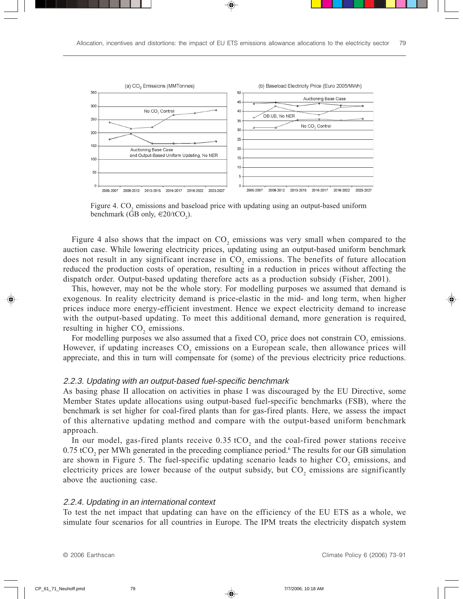

Figure 4.  $CO_2$  emissions and baseload price with updating using an output-based uniform benchmark (GB only,  $\in 20$ /tCO<sub>2</sub>).

Figure 4 also shows that the impact on  $CO_2$  emissions was very small when compared to the auction case. While lowering electricity prices, updating using an output-based uniform benchmark does not result in any significant increase in  $CO_2$  emissions. The benefits of future allocation reduced the production costs of operation, resulting in a reduction in prices without affecting the dispatch order. Output-based updating therefore acts as a production subsidy (Fisher, 2001).

This, however, may not be the whole story. For modelling purposes we assumed that demand is exogenous. In reality electricity demand is price-elastic in the mid- and long term, when higher prices induce more energy-efficient investment. Hence we expect electricity demand to increase with the output-based updating. To meet this additional demand, more generation is required, resulting in higher  $CO<sub>2</sub>$  emissions.

For modelling purposes we also assumed that a fixed  $CO_2$  price does not constrain  $CO_2$  emissions. However, if updating increases  $CO_2$  emissions on a European scale, then allowance prices will appreciate, and this in turn will compensate for (some) of the previous electricity price reductions.

#### 2.2.3. Updating with an output-based fuel-specific benchmark

As basing phase II allocation on activities in phase I was discouraged by the EU Directive, some Member States update allocations using output-based fuel-specific benchmarks (FSB), where the benchmark is set higher for coal-fired plants than for gas-fired plants. Here, we assess the impact of this alternative updating method and compare with the output-based uniform benchmark approach.

In our model, gas-fired plants receive  $0.35$  tCO<sub>2</sub> and the coal-fired power stations receive 0.75 tCO<sub>2</sub> per MWh generated in the preceding compliance period.<sup>6</sup> The results for our GB simulation are shown in Figure 5. The fuel-specific updating scenario leads to higher  $CO_2$  emissions, and electricity prices are lower because of the output subsidy, but  $CO_2$  emissions are significantly above the auctioning case.

### 2.2.4. Updating in an international context

To test the net impact that updating can have on the efficiency of the EU ETS as a whole, we simulate four scenarios for all countries in Europe. The IPM treats the electricity dispatch system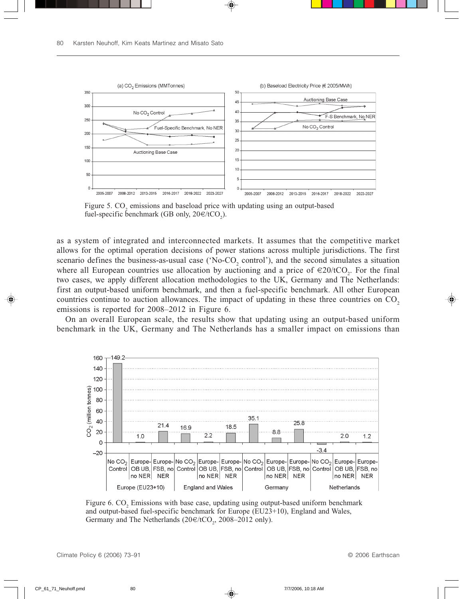

Figure 5.  $CO_2$  emissions and baseload price with updating using an output-based fuel-specific benchmark (GB only,  $20 \in / tCO_2$ ).

as a system of integrated and interconnected markets. It assumes that the competitive market allows for the optimal operation decisions of power stations across multiple jurisdictions. The first scenario defines the business-as-usual case ('No-CO<sub>2</sub> control'), and the second simulates a situation where all European countries use allocation by auctioning and a price of  $\in 20/1CO_2$ . For the final two cases, we apply different allocation methodologies to the UK, Germany and The Netherlands: first an output-based uniform benchmark, and then a fuel-specific benchmark. All other European countries continue to auction allowances. The impact of updating in these three countries on CO<sub>2</sub> emissions is reported for 2008–2012 in Figure 6.

On an overall European scale, the results show that updating using an output-based uniform benchmark in the UK, Germany and The Netherlands has a smaller impact on emissions than



Figure 6.  $CO_2$  Emissions with base case, updating using output-based uniform benchmark and output-based fuel-specific benchmark for Europe (EU23+10), England and Wales, Germany and The Netherlands ( $20 \in / tCO_2$ , 2008–2012 only).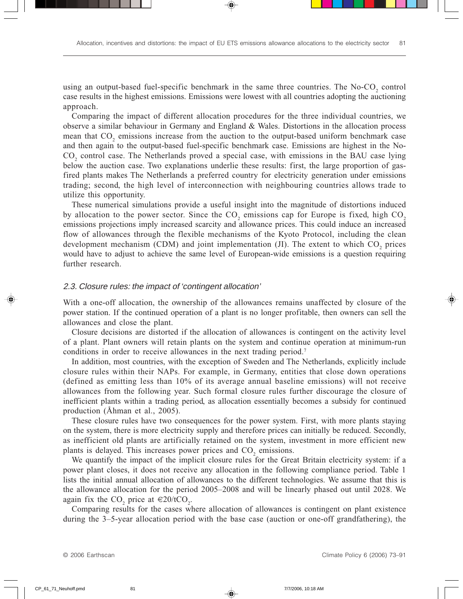using an output-based fuel-specific benchmark in the same three countries. The  $No-CO_2$  control case results in the highest emissions. Emissions were lowest with all countries adopting the auctioning approach.

Comparing the impact of different allocation procedures for the three individual countries, we observe a similar behaviour in Germany and England & Wales. Distortions in the allocation process mean that  $CO_2$  emissions increase from the auction to the output-based uniform benchmark case and then again to the output-based fuel-specific benchmark case. Emissions are highest in the No- $CO<sub>2</sub>$  control case. The Netherlands proved a special case, with emissions in the BAU case lying below the auction case. Two explanations underlie these results: first, the large proportion of gasfired plants makes The Netherlands a preferred country for electricity generation under emissions trading; second, the high level of interconnection with neighbouring countries allows trade to utilize this opportunity.

These numerical simulations provide a useful insight into the magnitude of distortions induced by allocation to the power sector. Since the  $CO_2$  emissions cap for Europe is fixed, high  $CO_2$ emissions projections imply increased scarcity and allowance prices. This could induce an increased flow of allowances through the flexible mechanisms of the Kyoto Protocol, including the clean development mechanism (CDM) and joint implementation (JI). The extent to which  $CO_2$  prices would have to adjust to achieve the same level of European-wide emissions is a question requiring further research.

## 2.3. Closure rules: the impact of 'contingent allocation'

With a one-off allocation, the ownership of the allowances remains unaffected by closure of the power station. If the continued operation of a plant is no longer profitable, then owners can sell the allowances and close the plant.

Closure decisions are distorted if the allocation of allowances is contingent on the activity level of a plant. Plant owners will retain plants on the system and continue operation at minimum-run conditions in order to receive allowances in the next trading period.<sup>7</sup>

In addition, most countries, with the exception of Sweden and The Netherlands, explicitly include closure rules within their NAPs. For example, in Germany, entities that close down operations (defined as emitting less than 10% of its average annual baseline emissions) will not receive allowances from the following year. Such formal closure rules further discourage the closure of inefficient plants within a trading period, as allocation essentially becomes a subsidy for continued production (Åhman et al., 2005).

These closure rules have two consequences for the power system. First, with more plants staying on the system, there is more electricity supply and therefore prices can initially be reduced. Secondly, as inefficient old plants are artificially retained on the system, investment in more efficient new plants is delayed. This increases power prices and  $CO_2$  emissions.

We quantify the impact of the implicit closure rules for the Great Britain electricity system: if a power plant closes, it does not receive any allocation in the following compliance period. Table 1 lists the initial annual allocation of allowances to the different technologies. We assume that this is the allowance allocation for the period 2005–2008 and will be linearly phased out until 2028. We again fix the CO<sub>2</sub> price at  $\in 20/\text{tCO}_2$ .

Comparing results for the cases where allocation of allowances is contingent on plant existence during the 3–5-year allocation period with the base case (auction or one-off grandfathering), the

© 2006 Earthscan Climate Policy 6 (2006) 73–91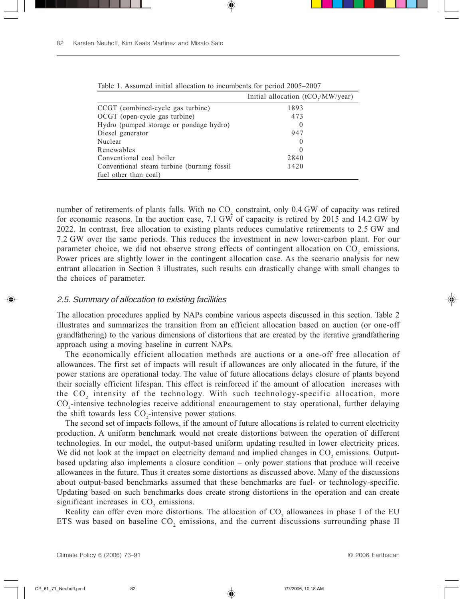|                                            | Initial allocation (tCO <sub>2</sub> /MW/year) |
|--------------------------------------------|------------------------------------------------|
| CCGT (combined-cycle gas turbine)          | 1893                                           |
| OCGT (open-cycle gas turbine)              | 473                                            |
| Hydro (pumped storage or pondage hydro)    | $\theta$                                       |
| Diesel generator                           | 947                                            |
| Nuclear                                    | $\theta$                                       |
| Renewables                                 | $\theta$                                       |
| Conventional coal boiler                   | 2840                                           |
| Conventional steam turbine (burning fossil | 1420                                           |
| fuel other than coal)                      |                                                |

| Table 1. Assumed initial allocation to incumbents for period 2005–2007 |  |  |
|------------------------------------------------------------------------|--|--|
|------------------------------------------------------------------------|--|--|

number of retirements of plants falls. With no  $CO_2$  constraint, only 0.4 GW of capacity was retired for economic reasons. In the auction case, 7.1 GW of capacity is retired by 2015 and 14.2 GW by 2022. In contrast, free allocation to existing plants reduces cumulative retirements to 2.5 GW and 7.2 GW over the same periods. This reduces the investment in new lower-carbon plant. For our parameter choice, we did not observe strong effects of contingent allocation on  $CO_2$  emissions. Power prices are slightly lower in the contingent allocation case. As the scenario analysis for new entrant allocation in Section 3 illustrates, such results can drastically change with small changes to the choices of parameter.

## 2.5. Summary of allocation to existing facilities

The allocation procedures applied by NAPs combine various aspects discussed in this section. Table 2 illustrates and summarizes the transition from an efficient allocation based on auction (or one-off grandfathering) to the various dimensions of distortions that are created by the iterative grandfathering approach using a moving baseline in current NAPs.

The economically efficient allocation methods are auctions or a one-off free allocation of allowances. The first set of impacts will result if allowances are only allocated in the future, if the power stations are operational today. The value of future allocations delays closure of plants beyond their socially efficient lifespan. This effect is reinforced if the amount of allocation increases with the  $CO_2$  intensity of the technology. With such technology-specific allocation, more CO<sub>2</sub>-intensive technologies receive additional encouragement to stay operational, further delaying the shift towards less  $CO_2$ -intensive power stations.

The second set of impacts follows, if the amount of future allocations is related to current electricity production. A uniform benchmark would not create distortions between the operation of different technologies. In our model, the output-based uniform updating resulted in lower electricity prices. We did not look at the impact on electricity demand and implied changes in  $CO_2$  emissions. Outputbased updating also implements a closure condition – only power stations that produce will receive allowances in the future. Thus it creates some distortions as discussed above. Many of the discussions about output-based benchmarks assumed that these benchmarks are fuel- or technology-specific. Updating based on such benchmarks does create strong distortions in the operation and can create significant increases in  $CO<sub>2</sub>$  emissions.

Reality can offer even more distortions. The allocation of  $CO_2$  allowances in phase I of the EU ETS was based on baseline  $CO_2$  emissions, and the current discussions surrounding phase II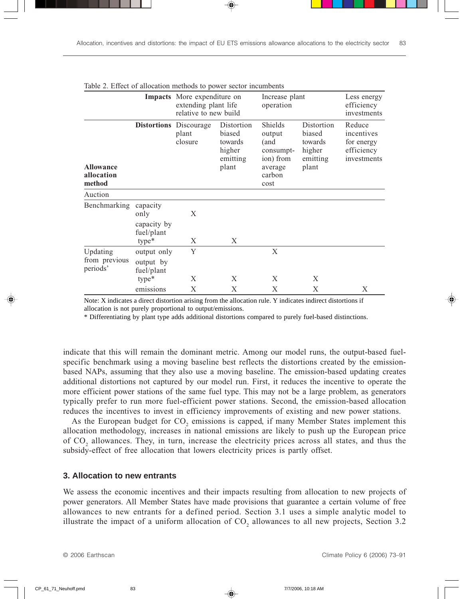|                                          |                                    | Impacts More expenditure on<br>extending plant life<br>relative to new build |                                                                | Increase plant<br>operation                                                      |                                                                | Less energy<br>efficiency<br>investments                        |
|------------------------------------------|------------------------------------|------------------------------------------------------------------------------|----------------------------------------------------------------|----------------------------------------------------------------------------------|----------------------------------------------------------------|-----------------------------------------------------------------|
| <b>Allowance</b><br>allocation<br>method |                                    | <b>Distortions</b> Discourage<br>plant<br>closure                            | Distortion<br>biased<br>towards<br>higher<br>emitting<br>plant | Shields<br>output<br>(and<br>consumpt-<br>ion) from<br>average<br>carbon<br>cost | Distortion<br>biased<br>towards<br>higher<br>emitting<br>plant | Reduce<br>incentives<br>for energy<br>efficiency<br>investments |
| Auction                                  |                                    |                                                                              |                                                                |                                                                                  |                                                                |                                                                 |
| Benchmarking                             | capacity<br>only                   | X                                                                            |                                                                |                                                                                  |                                                                |                                                                 |
|                                          | capacity by<br>fuel/plant<br>type* | X                                                                            | X                                                              |                                                                                  |                                                                |                                                                 |
| Updating                                 | output only                        | Y                                                                            |                                                                | X                                                                                |                                                                |                                                                 |
| from previous<br>periods'                | output by<br>fuel/plant            |                                                                              |                                                                |                                                                                  |                                                                |                                                                 |
|                                          | type*                              | X                                                                            | X                                                              | X                                                                                | X                                                              |                                                                 |
|                                          | emissions                          | X                                                                            | Χ                                                              | Χ                                                                                | X                                                              | X                                                               |

|  | Table 2. Effect of allocation methods to power sector incumbents |  |  |  |  |
|--|------------------------------------------------------------------|--|--|--|--|
|  |                                                                  |  |  |  |  |

Note: X indicates a direct distortion arising from the allocation rule. Y indicates indirect distortions if allocation is not purely proportional to output/emissions.

\* Differentiating by plant type adds additional distortions compared to purely fuel-based distinctions.

indicate that this will remain the dominant metric. Among our model runs, the output-based fuelspecific benchmark using a moving baseline best reflects the distortions created by the emissionbased NAPs, assuming that they also use a moving baseline. The emission-based updating creates additional distortions not captured by our model run. First, it reduces the incentive to operate the more efficient power stations of the same fuel type. This may not be a large problem, as generators typically prefer to run more fuel-efficient power stations. Second, the emission-based allocation reduces the incentives to invest in efficiency improvements of existing and new power stations.

As the European budget for  $CO_2$  emissions is capped, if many Member States implement this allocation methodology, increases in national emissions are likely to push up the European price of  $CO_2$  allowances. They, in turn, increase the electricity prices across all states, and thus the subsidy-effect of free allocation that lowers electricity prices is partly offset.

# **3. Allocation to new entrants**

We assess the economic incentives and their impacts resulting from allocation to new projects of power generators. All Member States have made provisions that guarantee a certain volume of free allowances to new entrants for a defined period. Section 3.1 uses a simple analytic model to illustrate the impact of a uniform allocation of  $CO_2$  allowances to all new projects, Section 3.2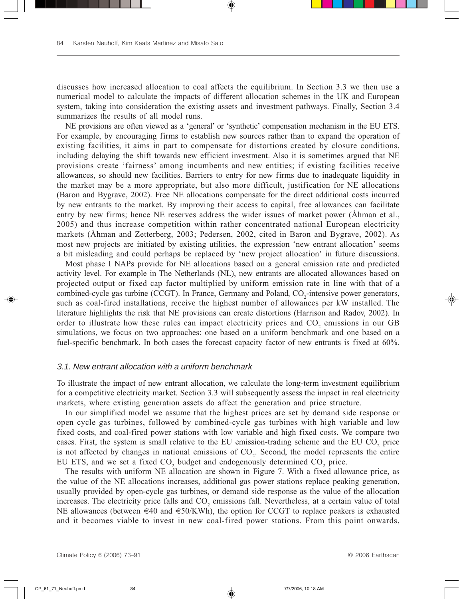discusses how increased allocation to coal affects the equilibrium. In Section 3.3 we then use a numerical model to calculate the impacts of different allocation schemes in the UK and European system, taking into consideration the existing assets and investment pathways. Finally, Section 3.4 summarizes the results of all model runs.

NE provisions are often viewed as a 'general' or 'synthetic' compensation mechanism in the EU ETS. For example, by encouraging firms to establish new sources rather than to expand the operation of existing facilities, it aims in part to compensate for distortions created by closure conditions, including delaying the shift towards new efficient investment. Also it is sometimes argued that NE provisions create 'fairness' among incumbents and new entities; if existing facilities receive allowances, so should new facilities. Barriers to entry for new firms due to inadequate liquidity in the market may be a more appropriate, but also more difficult, justification for NE allocations (Baron and Bygrave, 2002). Free NE allocations compensate for the direct additional costs incurred by new entrants to the market. By improving their access to capital, free allowances can facilitate entry by new firms; hence NE reserves address the wider issues of market power (Åhman et al., 2005) and thus increase competition within rather concentrated national European electricity markets (Åhman and Zetterberg, 2003; Pedersen, 2002, cited in Baron and Bygrave, 2002). As most new projects are initiated by existing utilities, the expression 'new entrant allocation' seems a bit misleading and could perhaps be replaced by 'new project allocation' in future discussions.

Most phase I NAPs provide for NE allocations based on a general emission rate and predicted activity level. For example in The Netherlands (NL), new entrants are allocated allowances based on projected output or fixed cap factor multiplied by uniform emission rate in line with that of a combined-cycle gas turbine (CCGT). In France, Germany and Poland,  $CO_2$ -intensive power generators, such as coal-fired installations, receive the highest number of allowances per kW installed. The literature highlights the risk that NE provisions can create distortions (Harrison and Radov, 2002). In order to illustrate how these rules can impact electricity prices and  $CO_2$  emissions in our GB simulations, we focus on two approaches: one based on a uniform benchmark and one based on a fuel-specific benchmark. In both cases the forecast capacity factor of new entrants is fixed at 60%.

#### 3.1. New entrant allocation with a uniform benchmark

To illustrate the impact of new entrant allocation, we calculate the long-term investment equilibrium for a competitive electricity market. Section 3.3 will subsequently assess the impact in real electricity markets, where existing generation assets do affect the generation and price structure.

In our simplified model we assume that the highest prices are set by demand side response or open cycle gas turbines, followed by combined-cycle gas turbines with high variable and low fixed costs, and coal-fired power stations with low variable and high fixed costs. We compare two cases. First, the system is small relative to the EU emission-trading scheme and the EU  $CO_2$  price is not affected by changes in national emissions of  $CO<sub>2</sub>$ . Second, the model represents the entire EU ETS, and we set a fixed  $CO_2$  budget and endogenously determined  $CO_2$  price.

The results with uniform NE allocation are shown in Figure 7. With a fixed allowance price, as the value of the NE allocations increases, additional gas power stations replace peaking generation, usually provided by open-cycle gas turbines, or demand side response as the value of the allocation increases. The electricity price falls and  $CO_2$  emissions fall. Nevertheless, at a certain value of total NE allowances (between  $\in$ 40 and  $\in$ 50/KWh), the option for CCGT to replace peakers is exhausted and it becomes viable to invest in new coal-fired power stations. From this point onwards,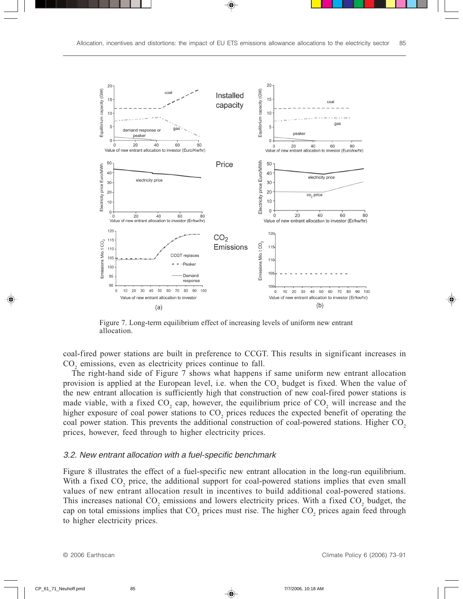

Figure 7. Long-term equilibrium effect of increasing levels of uniform new entrant allocation.

coal-fired power stations are built in preference to CCGT. This results in significant increases in  $CO<sub>2</sub>$  emissions, even as electricity prices continue to fall.

The right-hand side of Figure 7 shows what happens if same uniform new entrant allocation provision is applied at the European level, i.e. when the  $CO_2$  budget is fixed. When the value of the new entrant allocation is sufficiently high that construction of new coal-fired power stations is made viable, with a fixed  $CO_2$  cap, however, the equilibrium price of  $CO_2$  will increase and the higher exposure of coal power stations to  $CO_2$  prices reduces the expected benefit of operating the coal power station. This prevents the additional construction of coal-powered stations. Higher CO<sub>2</sub> prices, however, feed through to higher electricity prices.

#### 3.2. New entrant allocation with a fuel-specific benchmark

Figure 8 illustrates the effect of a fuel-specific new entrant allocation in the long-run equilibrium. With a fixed  $CO_2$  price, the additional support for coal-powered stations implies that even small values of new entrant allocation result in incentives to build additional coal-powered stations. This increases national  $CO_2$  emissions and lowers electricity prices. With a fixed  $CO_2$  budget, the cap on total emissions implies that  $CO_2$  prices must rise. The higher  $CO_2$  prices again feed through to higher electricity prices.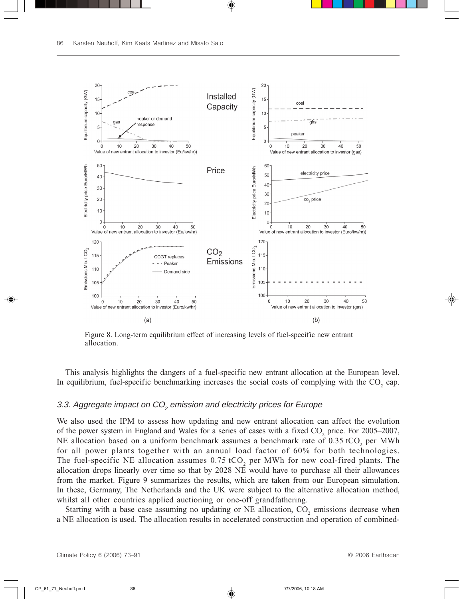

Figure 8. Long-term equilibrium effect of increasing levels of fuel-specific new entrant allocation.

This analysis highlights the dangers of a fuel-specific new entrant allocation at the European level. In equilibrium, fuel-specific benchmarking increases the social costs of complying with the  $CO<sub>2</sub>$  cap.

# 3.3. Aggregate impact on CO $_{_2}$  emission and electricity prices for Europe

We also used the IPM to assess how updating and new entrant allocation can affect the evolution of the power system in England and Wales for a series of cases with a fixed  $CO_2$  price. For 2005–2007, NE allocation based on a uniform benchmark assumes a benchmark rate of  $0.35$  tCO<sub>2</sub> per MWh for all power plants together with an annual load factor of 60% for both technologies. The fuel-specific NE allocation assumes  $0.75 \text{ tCO}_2$  per MWh for new coal-fired plants. The allocation drops linearly over time so that by 2028 NE would have to purchase all their allowances from the market. Figure 9 summarizes the results, which are taken from our European simulation. In these, Germany, The Netherlands and the UK were subject to the alternative allocation method, whilst all other countries applied auctioning or one-off grandfathering.

Starting with a base case assuming no updating or NE allocation,  $CO_2$  emissions decrease when a NE allocation is used. The allocation results in accelerated construction and operation of combined-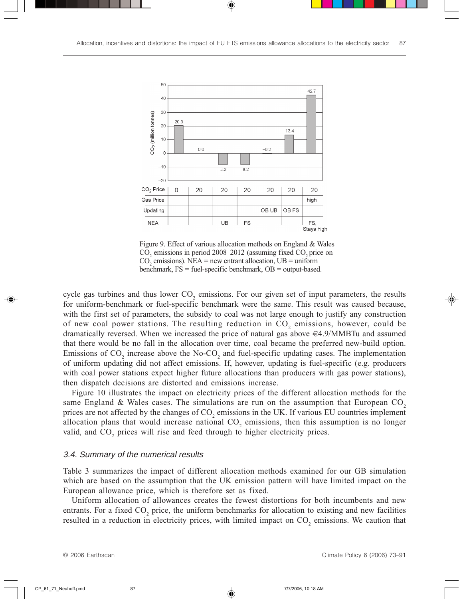

Figure 9. Effect of various allocation methods on England & Wales  $CO<sub>2</sub>$  emissions in period 2008–2012 (assuming fixed  $CO<sub>2</sub>$  price on  $CO<sub>2</sub>$  emissions). NEA = new entrant allocation, UB = uniform benchmark,  $FS = fuel-specific benchmark$ ,  $OB = output-based$ .

cycle gas turbines and thus lower  $CO_2$  emissions. For our given set of input parameters, the results for uniform-benchmark or fuel-specific benchmark were the same. This result was caused because, with the first set of parameters, the subsidy to coal was not large enough to justify any construction of new coal power stations. The resulting reduction in  $CO_2$  emissions, however, could be dramatically reversed. When we increased the price of natural gas above  $\epsilon$ 4.9/MMBTu and assumed that there would be no fall in the allocation over time, coal became the preferred new-build option. Emissions of  $CO_2$  increase above the No-CO<sub>2</sub> and fuel-specific updating cases. The implementation of uniform updating did not affect emissions. If, however, updating is fuel-specific (e.g. producers with coal power stations expect higher future allocations than producers with gas power stations), then dispatch decisions are distorted and emissions increase.

Figure 10 illustrates the impact on electricity prices of the different allocation methods for the same England & Wales cases. The simulations are run on the assumption that European  $CO<sub>2</sub>$ prices are not affected by the changes of  $CO_2$  emissions in the UK. If various EU countries implement allocation plans that would increase national  $CO_2$  emissions, then this assumption is no longer valid, and  $CO_2$  prices will rise and feed through to higher electricity prices.

## 3.4. Summary of the numerical results

Table 3 summarizes the impact of different allocation methods examined for our GB simulation which are based on the assumption that the UK emission pattern will have limited impact on the European allowance price, which is therefore set as fixed.

Uniform allocation of allowances creates the fewest distortions for both incumbents and new entrants. For a fixed  $CO_2$  price, the uniform benchmarks for allocation to existing and new facilities resulted in a reduction in electricity prices, with limited impact on  $CO_2$  emissions. We caution that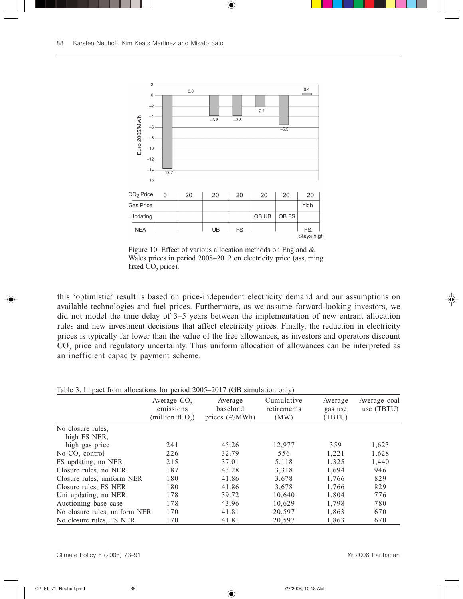

Figure 10. Effect of various allocation methods on England & Wales prices in period 2008–2012 on electricity price (assuming fixed  $CO<sub>2</sub>$  price).

this 'optimistic' result is based on price-independent electricity demand and our assumptions on available technologies and fuel prices. Furthermore, as we assume forward-looking investors, we did not model the time delay of 3–5 years between the implementation of new entrant allocation rules and new investment decisions that affect electricity prices. Finally, the reduction in electricity prices is typically far lower than the value of the free allowances, as investors and operators discount  $CO<sub>2</sub>$  price and regulatory uncertainty. Thus uniform allocation of allowances can be interpreted as an inefficient capacity payment scheme.

#### Table 3. Impact from allocations for period 2005–2017 (GB simulation only)

|                               | Average CO <sub>2</sub><br>emissions<br>(million $tCO2$ ) | Average<br>baseload<br>prices $(\epsilon/MWh)$ | Cumulative<br>retirements<br>(MW) | Average<br>gas use<br>(TBTU) | Average coal<br>use (TBTU) |
|-------------------------------|-----------------------------------------------------------|------------------------------------------------|-----------------------------------|------------------------------|----------------------------|
| No closure rules,             |                                                           |                                                |                                   |                              |                            |
| high FS NER.                  |                                                           |                                                |                                   |                              |                            |
| high gas price                | 241                                                       | 45.26                                          | 12,977                            | 359                          | 1,623                      |
| No CO <sub>2</sub> control    | 226                                                       | 32.79                                          | 556                               | 1,221                        | 1,628                      |
| FS updating, no NER           | 215                                                       | 37.01                                          | 5,118                             | 1,325                        | 1,440                      |
| Closure rules, no NER         | 187                                                       | 43.28                                          | 3,318                             | 1,694                        | 946                        |
| Closure rules, uniform NER    | 180                                                       | 41.86                                          | 3,678                             | 1,766                        | 829                        |
| Closure rules, FS NER         | 180                                                       | 41.86                                          | 3,678                             | 1.766                        | 829                        |
| Uni updating, no NER          | 178                                                       | 39.72                                          | 10,640                            | 1,804                        | 776                        |
| Auctioning base case          | 178                                                       | 43.96                                          | 10.629                            | 1,798                        | 780                        |
| No closure rules, uniform NER | 170                                                       | 41.81                                          | 20,597                            | 1,863                        | 670                        |
| No closure rules, FS NER      | 170                                                       | 41.81                                          | 20,597                            | 1,863                        | 670                        |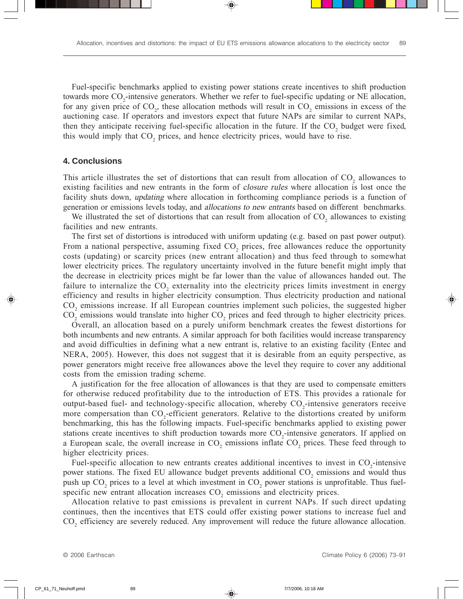Fuel-specific benchmarks applied to existing power stations create incentives to shift production towards more  $CO_2$ -intensive generators. Whether we refer to fuel-specific updating or NE allocation, for any given price of  $CO_2$ , these allocation methods will result in  $CO_2$  emissions in excess of the auctioning case. If operators and investors expect that future NAPs are similar to current NAPs, then they anticipate receiving fuel-specific allocation in the future. If the  $CO_2$  budget were fixed, this would imply that  $CO_2$  prices, and hence electricity prices, would have to rise.

## **4. Conclusions**

This article illustrates the set of distortions that can result from allocation of  $CO_2$  allowances to existing facilities and new entrants in the form of closure rules where allocation is lost once the facility shuts down, updating where allocation in forthcoming compliance periods is a function of generation or emissions levels today, and allocations to new entrants based on different benchmarks.

We illustrated the set of distortions that can result from allocation of  $CO_2$  allowances to existing facilities and new entrants.

The first set of distortions is introduced with uniform updating (e.g. based on past power output). From a national perspective, assuming fixed  $CO_2$  prices, free allowances reduce the opportunity costs (updating) or scarcity prices (new entrant allocation) and thus feed through to somewhat lower electricity prices. The regulatory uncertainty involved in the future benefit might imply that the decrease in electricity prices might be far lower than the value of allowances handed out. The failure to internalize the  $CO_2$  externality into the electricity prices limits investment in energy efficiency and results in higher electricity consumption. Thus electricity production and national  $CO<sub>2</sub>$  emissions increase. If all European countries implement such policies, the suggested higher  $CO<sub>2</sub>$  emissions would translate into higher  $CO<sub>2</sub>$  prices and feed through to higher electricity prices.

Overall, an allocation based on a purely uniform benchmark creates the fewest distortions for both incumbents and new entrants. A similar approach for both facilities would increase transparency and avoid difficulties in defining what a new entrant is, relative to an existing facility (Entec and NERA, 2005). However, this does not suggest that it is desirable from an equity perspective, as power generators might receive free allowances above the level they require to cover any additional costs from the emission trading scheme.

A justification for the free allocation of allowances is that they are used to compensate emitters for otherwise reduced profitability due to the introduction of ETS. This provides a rationale for output-based fuel- and technology-specific allocation, whereby  $CO_2$ -intensive generators receive more compersation than CO<sub>2</sub>-efficient generators. Relative to the distortions created by uniform benchmarking, this has the following impacts. Fuel-specific benchmarks applied to existing power stations create incentives to shift production towards more  $CO_2$ -intensive generators. If applied on a European scale, the overall increase in  $CO_2$  emissions inflate  $CO_2$  prices. These feed through to higher electricity prices.

Fuel-specific allocation to new entrants creates additional incentives to invest in  $CO_2$ -intensive power stations. The fixed EU allowance budget prevents additional  $CO_2$  emissions and would thus push up  $CO_2$  prices to a level at which investment in  $CO_2$  power stations is unprofitable. Thus fuelspecific new entrant allocation increases  $CO<sub>2</sub>$  emissions and electricity prices.

Allocation relative to past emissions is prevalent in current NAPs. If such direct updating continues, then the incentives that ETS could offer existing power stations to increase fuel and  $CO<sub>2</sub>$  efficiency are severely reduced. Any improvement will reduce the future allowance allocation.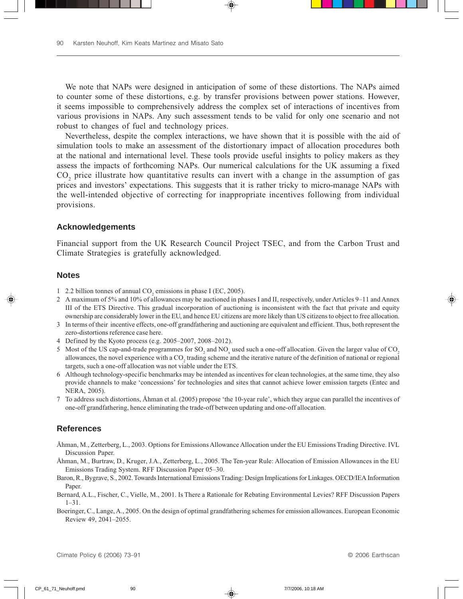90 Karsten Neuhoff, Kim Keats Martinez and Misato Sato

We note that NAPs were designed in anticipation of some of these distortions. The NAPs aimed to counter some of these distortions, e.g. by transfer provisions between power stations. However, it seems impossible to comprehensively address the complex set of interactions of incentives from various provisions in NAPs. Any such assessment tends to be valid for only one scenario and not robust to changes of fuel and technology prices.

Nevertheless, despite the complex interactions, we have shown that it is possible with the aid of simulation tools to make an assessment of the distortionary impact of allocation procedures both at the national and international level. These tools provide useful insights to policy makers as they assess the impacts of forthcoming NAPs. Our numerical calculations for the UK assuming a fixed  $CO<sub>2</sub>$  price illustrate how quantitative results can invert with a change in the assumption of gas prices and investors' expectations. This suggests that it is rather tricky to micro-manage NAPs with the well-intended objective of correcting for inappropriate incentives following from individual provisions.

## **Acknowledgements**

Financial support from the UK Research Council Project TSEC, and from the Carbon Trust and Climate Strategies is gratefully acknowledged.

### **Notes**

- 1 2.2 billion tonnes of annual  $CO<sub>2</sub>$  emissions in phase I (EC, 2005).
- 2 A maximum of 5% and 10% of allowances may be auctioned in phases I and II, respectively, under Articles 9–11 and Annex III of the ETS Directive. This gradual incorporation of auctioning is inconsistent with the fact that private and equity ownership are considerably lower in the EU, and hence EU citizens are more likely than US citizens to object to free allocation.
- 3 In terms of their incentive effects, one-off grandfathering and auctioning are equivalent and efficient. Thus, both represent the zero-distortions reference case here.
- 4 Defined by the Kyoto process (e.g. 2005–2007, 2008–2012).
- 5 Most of the US cap-and-trade programmes for  $SO_2$  and  $NO_x$  used such a one-off allocation. Given the larger value of  $CO_2$ allowances, the novel experience with a  $CO_2$  trading scheme and the iterative nature of the definition of national or regional targets, such a one-off allocation was not viable under the ETS.
- 6 Although technology-specific benchmarks may be intended as incentives for clean technologies, at the same time, they also provide channels to make 'concessions' for technologies and sites that cannot achieve lower emission targets (Entec and NERA, 2005).
- 7 To address such distortions, Åhman et al. (2005) propose 'the 10-year rule', which they argue can parallel the incentives of one-off grandfathering, hence eliminating the trade-off between updating and one-off allocation.

## **References**

- Åhman, M., Zetterberg, L., 2003. Options for Emissions Allowance Allocation under the EU Emissions Trading Directive. IVL Discussion Paper.
- Åhman, M., Burtraw, D., Kruger, J.A., Zetterberg, L., 2005. The Ten-year Rule: Allocation of Emission Allowances in the EU Emissions Trading System. RFF Discussion Paper 05–30.

Baron, R., Bygrave, S., 2002. Towards International Emissions Trading: Design Implications for Linkages. OECD/IEA Information Paper.

Bernard, A.L., Fischer, C., Vielle, M., 2001. Is There a Rationale for Rebating Environmental Levies? RFF Discussion Papers 1–31.

Boeringer, C., Lange, A., 2005. On the design of optimal grandfathering schemes for emission allowances. European Economic Review 49, 2041–2055.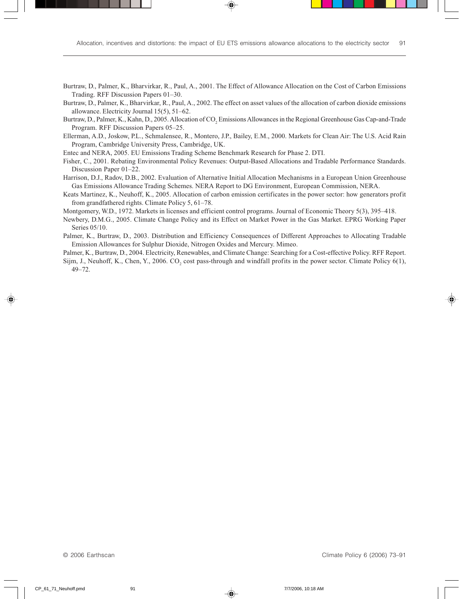Allocation, incentives and distortions: the impact of EU ETS emissions allowance allocations to the electricity sector 91

Burtraw, D., Palmer, K., Bharvirkar, R., Paul, A., 2001. The Effect of Allowance Allocation on the Cost of Carbon Emissions Trading. RFF Discussion Papers 01–30.

Burtraw, D., Palmer, K., Bharvirkar, R., Paul, A., 2002. The effect on asset values of the allocation of carbon dioxide emissions allowance. Electricity Journal 15(5), 51–62.

Burtraw, D., Palmer, K., Kahn, D., 2005. Allocation of CO<sub>2</sub> Emissions Allowances in the Regional Greenhouse Gas Cap-and-Trade Program. RFF Discussion Papers 05–25.

Ellerman, A.D., Joskow, P.L., Schmalensee, R., Montero, J.P., Bailey, E.M., 2000. Markets for Clean Air: The U.S. Acid Rain Program, Cambridge University Press, Cambridge, UK.

Entec and NERA, 2005. EU Emissions Trading Scheme Benchmark Research for Phase 2. DTI.

Fisher, C., 2001. Rebating Environmental Policy Revenues: Output-Based Allocations and Tradable Performance Standards. Discussion Paper 01–22.

Harrison, D.J., Radov, D.B., 2002. Evaluation of Alternative Initial Allocation Mechanisms in a European Union Greenhouse Gas Emissions Allowance Trading Schemes. NERA Report to DG Environment, European Commission, NERA.

Keats Martinez, K., Neuhoff, K., 2005. Allocation of carbon emission certificates in the power sector: how generators profit from grandfathered rights. Climate Policy 5, 61–78.

Montgomery, W.D., 1972. Markets in licenses and efficient control programs. Journal of Economic Theory 5(3), 395–418.

Newbery, D.M.G., 2005. Climate Change Policy and its Effect on Market Power in the Gas Market. EPRG Working Paper Series 05/10.

Palmer, K., Burtraw, D., 2003. Distribution and Efficiency Consequences of Different Approaches to Allocating Tradable Emission Allowances for Sulphur Dioxide, Nitrogen Oxides and Mercury. Mimeo.

Palmer, K., Burtraw, D., 2004. Electricity, Renewables, and Climate Change: Searching for a Cost-effective Policy. RFF Report. Sijm, J., Neuhoff, K., Chen, Y., 2006. CO<sub>2</sub> cost pass-through and windfall profits in the power sector. Climate Policy  $6(1)$ , 49–72.